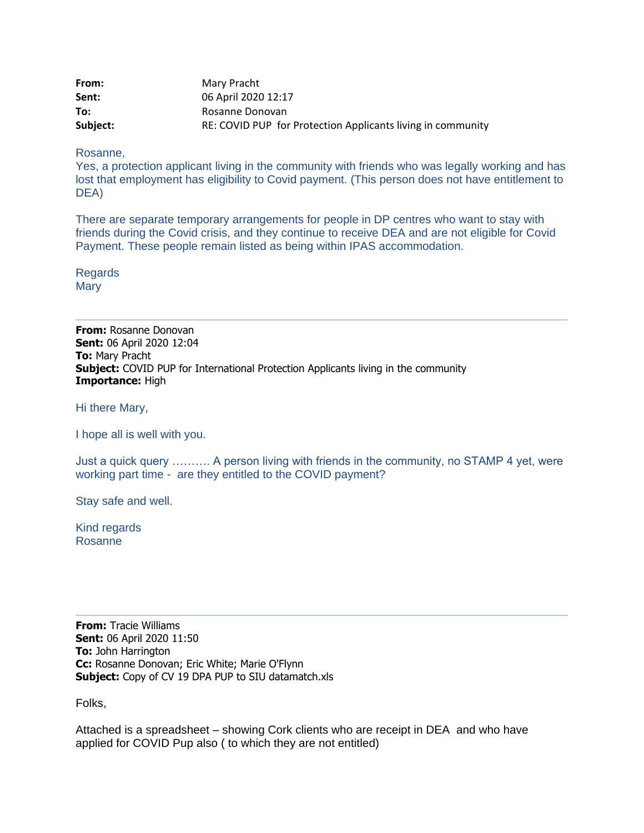| From:    | Mary Pracht                                                 |
|----------|-------------------------------------------------------------|
| Sent:    | 06 April 2020 12:17                                         |
| To:      | Rosanne Donovan                                             |
| Subject: | RE: COVID PUP for Protection Applicants living in community |

Rosanne,

Yes, a protection applicant living in the community with friends who was legally working and has lost that employment has eligibility to Covid payment. (This person does not have entitlement to DEA)

There are separate temporary arrangements for people in DP centres who want to stay with friends during the Covid crisis, and they continue to receive DEA and are not eligible for Covid Payment. These people remain listed as being within IPAS accommodation.

Regards **Mary** 

**From:** Rosanne Donovan **Sent:** 06 April 2020 12:04 **To:** Mary Pracht **Subject:** COVID PUP for International Protection Applicants living in the community **Importance:** High

Hi there Mary,

I hope all is well with you.

Just a quick query ………. A person living with friends in the community, no STAMP 4 yet, were working part time - are they entitled to the COVID payment?

Stay safe and well.

Kind regards Rosanne

**From:** Tracie Williams **Sent:** 06 April 2020 11:50 **To:** John Harrington **Cc:** Rosanne Donovan; Eric White; Marie O'Flynn **Subject:** Copy of CV 19 DPA PUP to SIU datamatch.xls

Folks,

Attached is a spreadsheet – showing Cork clients who are receipt in DEA and who have applied for COVID Pup also ( to which they are not entitled)